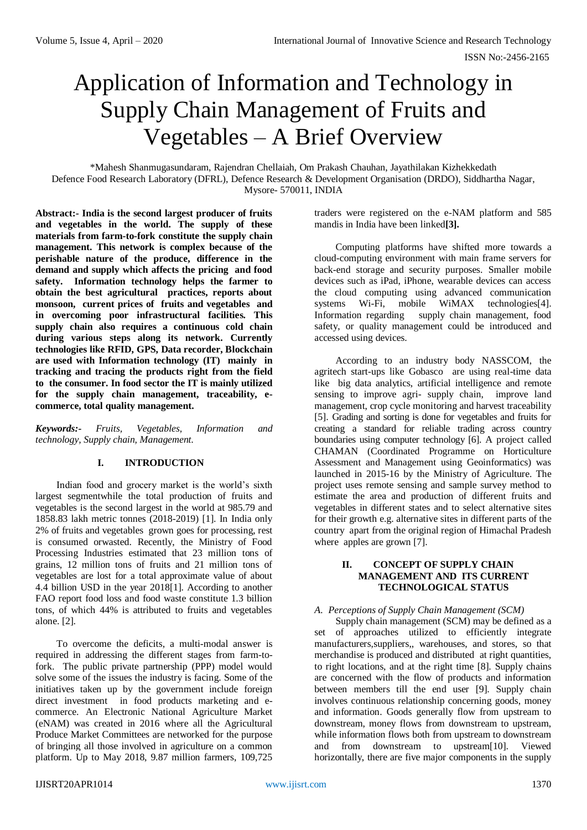# Application of Information and Technology in Supply Chain Management of Fruits and Vegetables – A Brief Overview

\*Mahesh Shanmugasundaram, Rajendran Chellaiah, Om Prakash Chauhan, Jayathilakan Kizhekkedath Defence Food Research Laboratory (DFRL), Defence Research & Development Organisation (DRDO), Siddhartha Nagar, Mysore- 570011, INDIA

**Abstract:- India is the second largest producer of fruits and vegetables in the world. The supply of these materials from farm-to-fork constitute the supply chain management. This network is complex because of the perishable nature of the produce, difference in the demand and supply which affects the pricing and food safety. Information technology helps the farmer to obtain the best agricultural practices, reports about monsoon, current prices of fruits and vegetables and in overcoming poor infrastructural facilities. This supply chain also requires a continuous cold chain during various steps along its network. Currently technologies like RFID, GPS, Data recorder, Blockchain are used with Information technology (IT) mainly in tracking and tracing the products right from the field to the consumer. In food sector the IT is mainly utilized for the supply chain management, traceability, ecommerce, total quality management.**

*Keywords:- Fruits, Vegetables, Information and technology, Supply chain, Management.*

# **I. INTRODUCTION**

Indian food and grocery market is the world's sixth largest segmentwhile the total production of fruits and vegetables is the second largest in the world at 985.79 and 1858.83 lakh metric tonnes (2018-2019) [1]. In India only 2% of fruits and vegetables grown goes for processing, rest is consumed orwasted. Recently, the Ministry of Food Processing Industries estimated that 23 million tons of grains, 12 million tons of fruits and 21 million tons of vegetables are lost for a total approximate value of about 4.4 billion USD in the year 2018[1]. According to another FAO report food loss and food waste constitute 1.3 billion tons, of which 44% is attributed to fruits and vegetables alone. [2].

To overcome the deficits, a multi-modal answer is required in addressing the different stages from farm-tofork. The public private partnership (PPP) model would solve some of the issues the industry is facing. Some of the initiatives taken up by the government include foreign direct investment in food products marketing and ecommerce. An Electronic National Agriculture Market (eNAM) was created in 2016 where all the Agricultural Produce Market Committees are networked for the purpose of bringing all those involved in agriculture on a common platform. Up to May 2018, 9.87 million farmers, 109,725

traders were registered on the e-NAM platform and 585 mandis in India have been linked**[3].**

Computing platforms have shifted more towards a cloud-computing environment with main frame servers for back-end storage and security purposes. Smaller mobile devices such as iPad, iPhone, wearable devices can access the cloud computing using advanced communication systems Wi-Fi, mobile WiMAX technologies<sup>[4]</sup>. Information regarding supply chain management, food safety, or quality management could be introduced and accessed using devices.

According to an industry body NASSCOM, the agritech start-ups like Gobasco are using real-time data like big data analytics, artificial intelligence and remote sensing to improve agri- supply chain, improve land management, crop cycle monitoring and harvest traceability [5]. Grading and sorting is done for vegetables and fruits for creating a standard for reliable trading across country boundaries using computer technology [6]. A project called CHAMAN (Coordinated Programme on Horticulture Assessment and Management using Geoinformatics) was launched in 2015-16 by the Ministry of Agriculture. The project uses remote sensing and sample survey method to estimate the area and production of different fruits and vegetables in different states and to select alternative sites for their growth e.g. alternative sites in different parts of the country apart from the original region of Himachal Pradesh where apples are grown [7].

#### **II. CONCEPT OF SUPPLY CHAIN MANAGEMENT AND ITS CURRENT TECHNOLOGICAL STATUS**

## *A. Perceptions of Supply Chain Management (SCM)*

Supply chain management (SCM) may be defined as a set of approaches utilized to efficiently integrate manufacturers,suppliers,, warehouses, and stores, so that merchandise is produced and distributed at right quantities, to right locations, and at the right time [8]. Supply chains are concerned with the flow of products and information between members till the end user [9]. Supply chain involves continuous relationship concerning goods, money and information. Goods generally flow from upstream to downstream, money flows from downstream to upstream, while information flows both from upstream to downstream and from downstream to upstream[10]. Viewed horizontally, there are five major components in the supply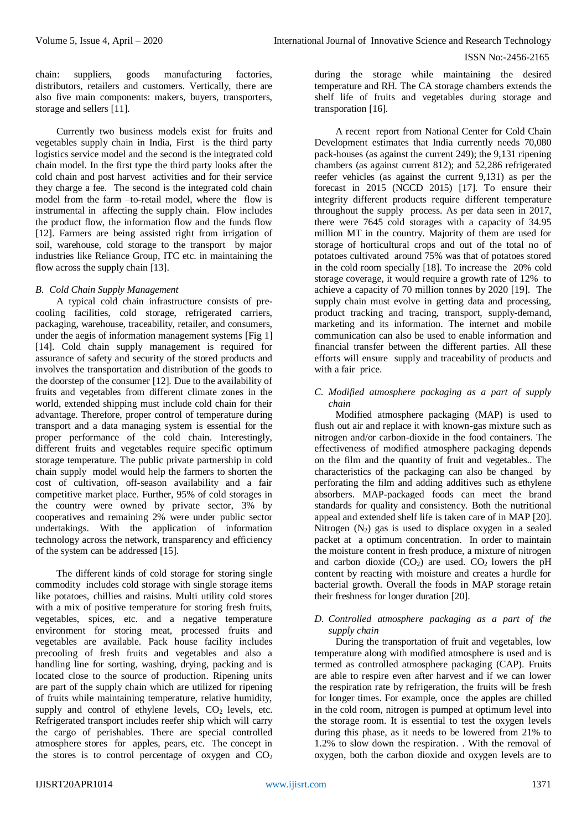chain: suppliers, goods manufacturing factories, distributors, retailers and customers. Vertically, there are also five main components: makers, buyers, transporters, storage and sellers [11].

Currently two business models exist for fruits and vegetables supply chain in India, First is the third party logistics service model and the second is the integrated cold chain model. In the first type the third party looks after the cold chain and post harvest activities and for their service they charge a fee. The second is the integrated cold chain model from the farm –to-retail model, where the flow is instrumental in affecting the supply chain. Flow includes the product flow, the information flow and the funds flow [12]. Farmers are being assisted right from irrigation of soil, warehouse, cold storage to the transport by major industries like Reliance Group, ITC etc. in maintaining the flow across the supply chain [13].

# *B. Cold Chain Supply Management*

A typical cold chain infrastructure consists of precooling facilities, cold storage, refrigerated carriers, packaging, warehouse, traceability, retailer, and consumers, under the aegis of information management systems [Fig 1] [14]. Cold chain supply management is required for assurance of safety and security of the stored products and involves the transportation and distribution of the goods to the doorstep of the consumer [12]. Due to the availability of fruits and vegetables from different climate zones in the world, extended shipping must include cold chain for their advantage. Therefore, proper control of temperature during transport and a data managing system is essential for the proper performance of the cold chain. Interestingly, different fruits and vegetables require specific optimum storage temperature. The public private partnership in cold chain supply model would help the farmers to shorten the cost of cultivation, off-season availability and a fair competitive market place. Further, 95% of cold storages in the country were owned by private sector, 3% by cooperatives and remaining 2% were under public sector undertakings. With the application of information technology across the network, transparency and efficiency of the system can be addressed [15].

The different kinds of cold storage for storing single commodity includes cold storage with single storage items like potatoes, chillies and raisins. Multi utility cold stores with a mix of positive temperature for storing fresh fruits, vegetables, spices, etc. and a negative temperature environment for storing meat, processed fruits and vegetables are available. Pack house facility includes precooling of fresh fruits and vegetables and also a handling line for sorting, washing, drying, packing and is located close to the source of production. Ripening units are part of the supply chain which are utilized for ripening of fruits while maintaining temperature, relative humidity, supply and control of ethylene levels,  $CO<sub>2</sub>$  levels, etc. Refrigerated transport includes reefer ship which will carry the cargo of perishables. There are special controlled atmosphere stores for apples, pears, etc. The concept in the stores is to control percentage of oxygen and  $CO<sub>2</sub>$  during the storage while maintaining the desired temperature and RH. The CA storage chambers extends the shelf life of fruits and vegetables during storage and transporation [16].

A recent report from National Center for Cold Chain Development estimates that India currently needs 70,080 pack-houses (as against the current 249); the 9,131 ripening chambers (as against current 812); and 52,286 refrigerated reefer vehicles (as against the current 9,131) as per the forecast in 2015 (NCCD 2015) [17]. To ensure their integrity different products require different temperature throughout the supply process. As per data seen in 2017, there were 7645 cold storages with a capacity of 34.95 million MT in the country. Majority of them are used for storage of horticultural crops and out of the total no of potatoes cultivated around 75% was that of potatoes stored in the cold room specially [18]. To increase the 20% cold storage coverage, it would require a growth rate of 12% to achieve a capacity of 70 million tonnes by 2020 [19]. The supply chain must evolve in getting data and processing, product tracking and tracing, transport, supply-demand, marketing and its information. The internet and mobile communication can also be used to enable information and financial transfer between the different parties. All these efforts will ensure supply and traceability of products and with a fair price.

## *C. Modified atmosphere packaging as a part of supply chain*

Modified atmosphere packaging (MAP) is used to flush out air and replace it with known-gas mixture such as nitrogen and/or carbon-dioxide in the food containers. The effectiveness of modified atmosphere packaging depends on the film and the quantity of fruit and vegetables.. The characteristics of the packaging can also be changed by perforating the film and adding additives such as ethylene absorbers. MAP-packaged foods can meet the brand standards for quality and consistency. Both the nutritional appeal and extended shelf life is taken care of in MAP [20]. Nitrogen  $(N_2)$  gas is used to displace oxygen in a sealed packet at a optimum concentration. In order to maintain the moisture content in fresh produce, a mixture of nitrogen and carbon dioxide  $(CO<sub>2</sub>)$  are used.  $CO<sub>2</sub>$  lowers the pH content by reacting with moisture and creates a hurdle for bacterial growth. Overall the foods in MAP storage retain their freshness for longer duration [20].

#### *D. Controlled atmosphere packaging as a part of the supply chain*

During the transportation of fruit and vegetables, low temperature along with modified atmosphere is used and is termed as controlled atmosphere packaging (CAP). Fruits are able to respire even after harvest and if we can lower the respiration rate by refrigeration, the fruits will be fresh for longer times. For example, once the apples are chilled in the cold room, nitrogen is pumped at optimum level into the storage room. It is essential to test the oxygen levels during this phase, as it needs to be lowered from 21% to 1.2% to slow down the respiration. . With the removal of oxygen, both the carbon dioxide and oxygen levels are to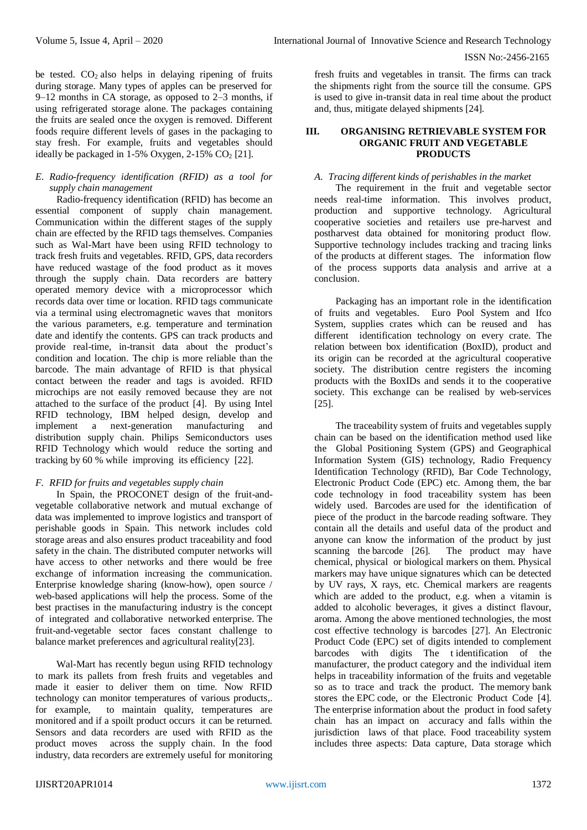be tested.  $CO<sub>2</sub>$  also helps in delaying ripening of fruits during storage. Many types of apples can be preserved for 9–12 months in CA storage, as opposed to 2–3 months, if using refrigerated storage alone. The packages containing the fruits are sealed once the oxygen is removed. Different foods require different levels of gases in the packaging to stay fresh. For example, fruits and vegetables should ideally be packaged in  $1-5\%$  Oxygen,  $2-15\%$  CO<sub>2</sub> [21].

#### *E. Radio-frequency identification (RFID) as a tool for supply chain management*

Radio-frequency identification (RFID) has become an essential component of supply chain management. Communication within the different stages of the supply chain are effected by the RFID tags themselves. Companies such as Wal-Mart have been using RFID technology to track fresh fruits and vegetables. RFID, GPS, data recorders have reduced wastage of the food product as it moves through the supply chain. Data recorders are battery operated memory device with a microprocessor which records data over time or location. RFID tags communicate via a terminal using electromagnetic waves that monitors the various parameters, e.g. temperature and termination date and identify the contents. GPS can track products and provide real-time, in-transit data about the product's condition and location. The chip is more reliable than the barcode. The main advantage of RFID is that physical contact between the reader and tags is avoided. RFID microchips are not easily removed because they are not attached to the surface of the product [4]. By using Intel RFID technology, IBM helped design, develop and implement a next-generation manufacturing and distribution supply chain. Philips Semiconductors uses RFID Technology which would reduce the sorting and tracking by 60 % while improving its efficiency [22].

# *F. RFID for fruits and vegetables supply chain*

In Spain, the PROCONET design of the fruit-andvegetable collaborative network and mutual exchange of data was implemented to improve logistics and transport of perishable goods in Spain. This network includes cold storage areas and also ensures product traceability and food safety in the chain. The distributed computer networks will have access to other networks and there would be free exchange of information increasing the communication. Enterprise knowledge sharing (know-how), open source / web-based applications will help the process. Some of the best practises in the manufacturing industry is the concept of integrated and collaborative networked enterprise. The fruit-and-vegetable sector faces constant challenge to balance market preferences and agricultural reality[23].

Wal-Mart has recently begun using RFID technology to mark its pallets from fresh fruits and vegetables and made it easier to deliver them on time. Now RFID technology can monitor temperatures of various products,. for example, to maintain quality, temperatures are monitored and if a spoilt product occurs it can be returned. Sensors and data recorders are used with RFID as the product moves across the supply chain. In the food industry, data recorders are extremely useful for monitoring

fresh fruits and vegetables in transit. The firms can track the shipments right from the source till the consume. GPS is used to give in-transit data in real time about the product and, thus, mitigate delayed shipments [24].

#### **III. ORGANISING RETRIEVABLE SYSTEM FOR ORGANIC FRUIT AND VEGETABLE PRODUCTS**

## *A. Tracing different kinds of perishables in the market*

The requirement in the fruit and vegetable sector needs real-time information. This involves product, production and supportive technology. Agricultural cooperative societies and retailers use pre-harvest and postharvest data obtained for monitoring product flow. Supportive technology includes tracking and tracing links of the products at different stages. The information flow of the process supports data analysis and arrive at a conclusion.

Packaging has an important role in the identification of fruits and vegetables. Euro Pool System and Ifco System, supplies crates which can be reused and has different identification technology on every crate. The relation between box identification (BoxID), product and its origin can be recorded at the agricultural cooperative society. The distribution centre registers the incoming products with the BoxIDs and sends it to the cooperative society. This exchange can be realised by web-services [25].

The traceability system of fruits and vegetables supply chain can be based on the identification method used like the Global Positioning System (GPS) and Geographical Information System (GIS) technology, Radio Frequency Identification Technology (RFID), Bar Code Technology, Electronic Product Code (EPC) etc. Among them, the bar code technology in food traceability system has been widely used. Barcodes are used for the identification of piece of the product in the barcode reading software. They contain all the details and useful data of the product and anyone can know the information of the product by just scanning the barcode [26]. The product may have chemical, physical or biological markers on them. Physical markers may have unique signatures which can be detected by UV rays, X rays, etc. Chemical markers are reagents which are added to the product, e.g. when a vitamin is added to alcoholic beverages, it gives a distinct flavour, aroma. Among the above mentioned technologies, the most cost effective technology is barcodes [27]. An Electronic Product Code (EPC) set of digits intended to complement barcodes with digits The t identification of the manufacturer, the product category and the individual item helps in traceability information of the fruits and vegetable so as to trace and track the product. The memory bank stores the EPC code, or the Electronic Product Code [4]. The enterprise information about the product in food safety chain has an impact on accuracy and falls within the jurisdiction laws of that place. Food traceability system includes three aspects: Data capture, Data storage which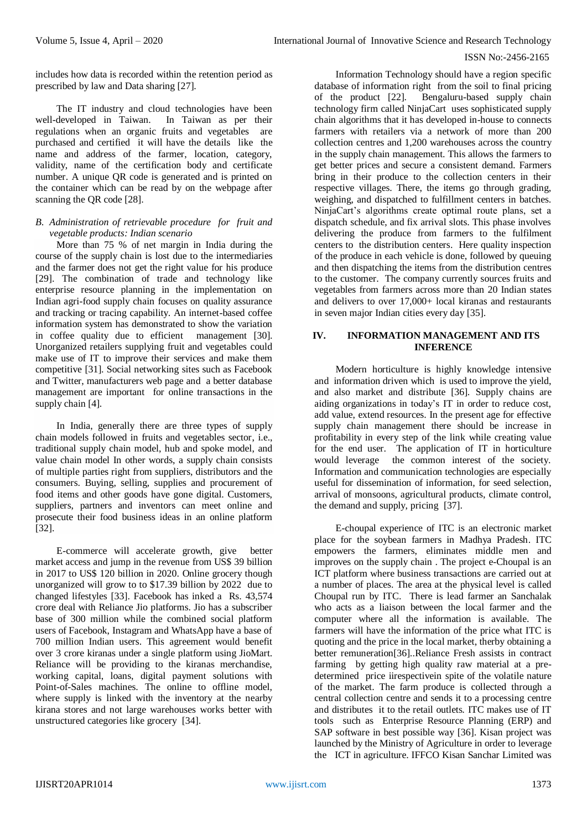includes how data is recorded within the retention period as prescribed by law and Data sharing [27].

The IT industry and cloud technologies have been well-developed in Taiwan. In Taiwan as per their regulations when an organic fruits and vegetables are purchased and certified it will have the details like the name and address of the farmer, location, category, validity, name of the certification body and certificate number. A unique QR code is generated and is printed on the container which can be read by on the webpage after scanning the QR code [28].

## *B. Administration of retrievable procedure for fruit and vegetable products: Indian scenario*

More than 75 % of net margin in India during the course of the supply chain is lost due to the intermediaries and the farmer does not get the right value for his produce [29]. The combination of trade and technology like enterprise resource planning in the implementation on Indian agri-food supply chain focuses on quality assurance and tracking or tracing capability. An internet-based coffee information system has demonstrated to show the variation in coffee quality due to efficient management [30]. Unorganized retailers supplying fruit and vegetables could make use of IT to improve their services and make them competitive [31]. Social networking sites such as Facebook and Twitter, manufacturers web page and a better database management are important for online transactions in the supply chain [4].

In India, generally there are three types of supply chain models followed in fruits and vegetables sector, i.e., traditional supply chain model, hub and spoke model, and value chain model In other words, a supply chain consists of multiple parties right from suppliers, distributors and the consumers. Buying, selling, supplies and procurement of food items and other goods have gone digital. Customers, suppliers, partners and inventors can meet online and prosecute their food business ideas in an online platform [32].

E-commerce will accelerate growth, give better market access and jump in the revenue from US\$ 39 billion in 2017 to US\$ 120 billion in 2020. Online grocery though unorganized will grow to to \$17.39 billion by 2022 due to changed lifestyles [33]. Facebook has inked a Rs. 43,574 crore deal with Reliance Jio platforms. Jio has a subscriber base of 300 million while the combined social platform users of Facebook, Instagram and WhatsApp have a base of 700 million Indian users. This agreement would benefit over 3 crore kiranas under a single platform using JioMart. Reliance will be providing to the kiranas merchandise. working capital, loans, digital payment solutions with Point-of-Sales machines. The online to offline model, where supply is linked with the inventory at the nearby kirana stores and not large warehouses works better with unstructured categories like grocery [34].

Information Technology should have a region specific database of information right from the soil to final pricing of the product [22]. Bengaluru-based supply chain technology firm called NinjaCart uses sophisticated supply chain algorithms that it has developed in-house to connects farmers with retailers via a network of more than 200 collection centres and 1,200 warehouses across the country in the supply chain management. This allows the farmers to get better prices and secure a consistent demand. Farmers bring in their produce to the collection centers in their respective villages. There, the items go through grading, weighing, and dispatched to fulfillment centers in batches. NinjaCart's algorithms create optimal route plans, set a dispatch schedule, and fix arrival slots. This phase involves delivering the produce from farmers to the fulfilment centers to the distribution centers. Here quality inspection of the produce in each vehicle is done, followed by queuing and then dispatching the items from the distribution centres to the customer. The company currently sources fruits and vegetables from farmers across more than 20 Indian states and delivers to over 17,000+ local kiranas and restaurants in seven major Indian cities every day [35].

## **IV. INFORMATION MANAGEMENT AND ITS INFERENCE**

Modern horticulture is highly knowledge intensive and information driven which is used to improve the yield, and also market and distribute [36]. Supply chains are aiding organizations in today's IT in order to reduce cost, add value, extend resources. In the present age for effective supply chain management there should be increase in profitability in every step of the link while creating value for the end user. The application of IT in horticulture would leverage the common interest of the society. Information and communication technologies are especially useful for dissemination of information, for seed selection, arrival of monsoons, agricultural products, climate control, the demand and supply, pricing [37].

E-choupal experience of ITC is an electronic market place for the soybean farmers in Madhya Pradesh. ITC empowers the farmers, eliminates middle men and improves on the supply chain . The project e-Choupal is an ICT platform where business transactions are carried out at a number of places. The area at the physical level is called Choupal run by ITC. There is lead farmer an Sanchalak who acts as a liaison between the local farmer and the computer where all the information is available. The farmers will have the information of the price what ITC is quoting and the price in the local market, therby obtaining a better remuneration[36]..Reliance Fresh assists in contract farming by getting high quality raw material at a predetermined price iirespectivein spite of the volatile nature of the market. The farm produce is collected through a central collection centre and sends it to a processing centre and distributes it to the retail outlets. ITC makes use of IT tools such as Enterprise Resource Planning (ERP) and SAP software in best possible way [36]. Kisan project was launched by the Ministry of Agriculture in order to leverage the ICT in agriculture. IFFCO Kisan Sanchar Limited was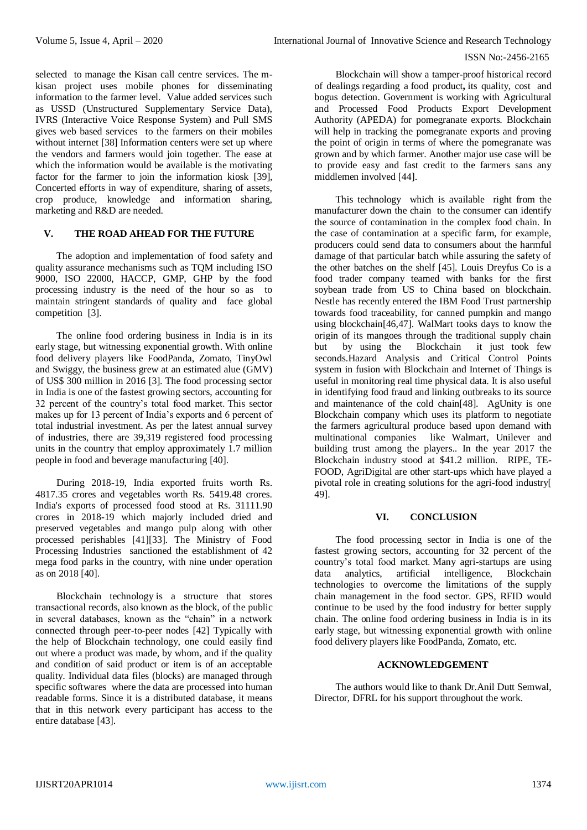selected to manage the Kisan call centre services. The mkisan project uses mobile phones for disseminating information to the farmer level. Value added services such as USSD (Unstructured Supplementary Service Data), IVRS (Interactive Voice Response System) and Pull SMS gives web based services to the farmers on their mobiles without internet [38] Information centers were set up where the vendors and farmers would join together. The ease at which the information would be available is the motivating factor for the farmer to join the information kiosk [39], Concerted efforts in way of expenditure, sharing of assets, crop produce, knowledge and information sharing, marketing and R&D are needed.

# **V. THE ROAD AHEAD FOR THE FUTURE**

The adoption and implementation of food safety and quality assurance mechanisms such as TQM including ISO 9000, ISO 22000, HACCP, GMP, GHP by the food processing industry is the need of the hour so as to maintain stringent standards of quality and face global competition [3].

The online food ordering business in India is in its early stage, but witnessing exponential growth. With online food delivery players like FoodPanda, Zomato, TinyOwl and Swiggy, the business grew at an estimated alue (GMV) of US\$ 300 million in 2016 [3]. The food processing sector in India is one of the fastest growing sectors, accounting for 32 percent of the country's total food market. This sector makes up for 13 percent of India's exports and 6 percent of total industrial investment. As per the latest annual survey of industries, there are 39,319 registered food processing units in the country that employ approximately 1.7 million people in food and beverage manufacturing [40].

During 2018-19, India exported fruits worth Rs. 4817.35 crores and vegetables worth Rs. 5419.48 crores. India's exports of processed food stood at Rs. 31111.90 crores in 2018-19 which majorly included dried and preserved vegetables and mango pulp along with other processed perishables [41][33]. The Ministry of Food Processing Industries sanctioned the establishment of 42 mega food parks in the country, with nine under operation as on 2018 [40].

Blockchain technology is a structure that stores transactional records, also known as the block, of the public in several databases, known as the "chain" in a network connected through peer-to-peer nodes [42] Typically with the help of Blockchain technology, one could easily find out where a product was made, by whom, and if the quality and condition of said product or item is of an acceptable quality. Individual data files (blocks) are managed through specific softwares where the data are processed into human readable forms. Since it is a distributed database, it means that in this network every participant has access to the entire database [43].

Blockchain will show a tamper-proof historical record of dealings regarding a food product**,** its quality, cost and bogus detection. Government is working with Agricultural and Processed Food Products Export Development Authority (APEDA) for pomegranate exports. Blockchain will help in tracking the pomegranate exports and proving the point of origin in terms of where the pomegranate was grown and by which farmer. Another major use case will be to provide easy and fast credit to the farmers sans any middlemen involved [44].

This technology which is available right from the manufacturer down the chain to the consumer can identify the source of contamination in the complex food chain. In the case of contamination at a specific farm, for example, producers could send data to consumers about the harmful damage of that particular batch while assuring the safety of the other batches on the shelf [45]. Louis Dreyfus Co is a food trader company teamed with banks for the first soybean trade from US to China based on blockchain. Nestle has recently entered the IBM Food Trust partnership towards food traceability, for canned pumpkin and mango using blockchain[46,47]. WalMart tooks days to know the origin of its mangoes through the traditional supply chain but by using the Blockchain it just took few seconds.Hazard Analysis and Critical Control Points system in fusion with Blockchain and Internet of Things is useful in monitoring real time physical data. It is also useful in identifying food fraud and linking outbreaks to its source and maintenance of the cold chain[48]. AgUnity is one Blockchain company which uses its platform to negotiate the farmers agricultural produce based upon demand with multinational companies like Walmart, Unilever and building trust among the players.. In the year 2017 the Blockchain industry stood at \$41.2 million. RIPE, TE-FOOD, AgriDigital are other start-ups which have played a pivotal role in creating solutions for the agri-food industry[ 49].

## **VI. CONCLUSION**

The food processing sector in India is one of the fastest growing sectors, accounting for 32 percent of the country's total food market. Many agri-startups are using data analytics, artificial intelligence, Blockchain technologies to overcome the limitations of the supply chain management in the food sector. GPS, RFID would continue to be used by the food industry for better supply chain. The online food ordering business in India is in its early stage, but witnessing exponential growth with online food delivery players like FoodPanda, Zomato, etc.

# **ACKNOWLEDGEMENT**

The authors would like to thank Dr.Anil Dutt Semwal, Director, DFRL for his support throughout the work.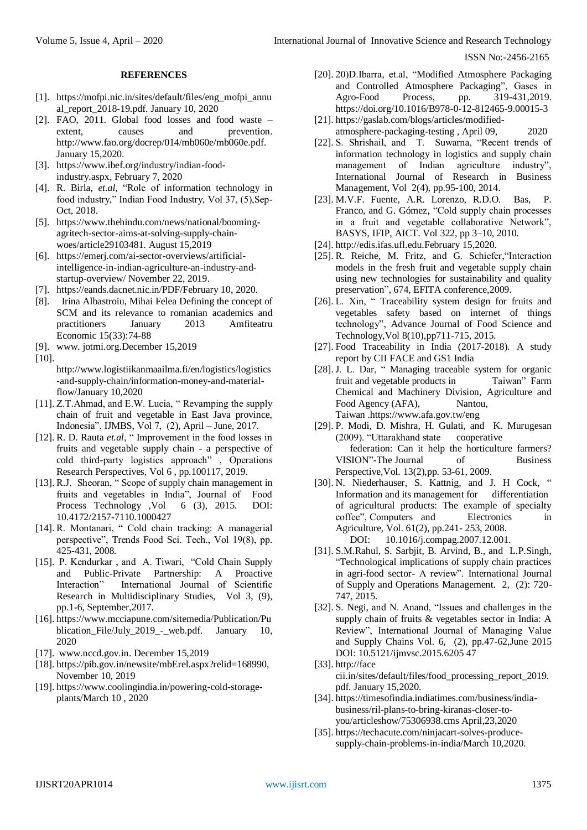## **REFERENCES**

- [1]. https://mofpi.nic.in/sites/default/files/eng\_mofpi\_annu al\_report\_2018-19.pdf. January 10, 2020
- [2]. FAO, 2011. Global food losses and food waste extent, causes and prevention. http://www.fao.org/docrep/014/mb060e/mb060e.pdf. January 15,2020.
- [3]. https://www.ibef.org/industry/indian-foodindustry.aspx, February 7, 2020
- [4]. R. Birla, *et.al*, "Role of information technology in food industry," Indian Food Industry, Vol 37, (5), Sep-Oct, 2018.
- [5]. https://www.thehindu.com/news/national/boomingagritech-sector-aims-at-solving-supply-chainwoes/article29103481. August 15,2019
- [6]. https://emerj.com/ai-sector-overviews/artificialintelligence-in-indian-agriculture-an-industry-andstartup-overview/ November 22, 2019.
- [7]. https://eands.dacnet.nic.in/PDF/February 10, 2020.
- [8]. Irina [Albastroiu,](https://www.researchgate.net/profile/Irina_Albastroiu?_sg%5B0%5D=E__hqXN6HlylicOXQPjDvTD0LWoa_1j_My8yn5l2w2ztNzNarC1cDZTL-1Y8NyXtFGkWm5M.9DIl1VX809Q7LX94B7UssVd1QTxMdzDr0A89ZrP1wAuEPReDCK69DWAGVjSk8W05geH0OhC7-1eYZJnMzao1Ag&_sg%5B1%5D=Uil14EgJUan2XHlOmxMmKKoS_0-1jQiyIl-dnV5iw4L8LSrBdrKiuR1vtHN6NtAAvpcdOCI.5eVunUJVbznezhi0cLN8_hzqHDjaly_iXTYkyLAbY9ow5kUWlKDoUL4Ikx-dEzoQletQuQ4pJ89lLK2yWSeCvA) [Mihai](https://www.researchgate.net/profile/Mihai_Felea?_sg%5B0%5D=E__hqXN6HlylicOXQPjDvTD0LWoa_1j_My8yn5l2w2ztNzNarC1cDZTL-1Y8NyXtFGkWm5M.9DIl1VX809Q7LX94B7UssVd1QTxMdzDr0A89ZrP1wAuEPReDCK69DWAGVjSk8W05geH0OhC7-1eYZJnMzao1Ag&_sg%5B1%5D=Uil14EgJUan2XHlOmxMmKKoS_0-1jQiyIl-dnV5iw4L8LSrBdrKiuR1vtHN6NtAAvpcdOCI.5eVunUJVbznezhi0cLN8_hzqHDjaly_iXTYkyLAbY9ow5kUWlKDoUL4Ikx-dEzoQletQuQ4pJ89lLK2yWSeCvA) Felea Defining the concept of SCM and its relevance to romanian academics and practitioners January 2013 Amfiteatru Economic 15(33):74-88
- [9]. www. jotmi.org.December 15,2019
- [10].

http://www.logistiikanmaailma.fi/en/logistics/logistics -and-supply-chain/information-money-and-materialflow/January 10,2020

- [11]. Z.T.Ahmad, and E.W. Lucia, " Revamping the supply chain of fruit and vegetable in East Java province, Indonesia", IJMBS, Vol 7, (2), April – June, 2017.
- [12]. R. D. Rauta *et.al*, " Improvement in the food losses in fruits and vegetable supply chain - a perspective of cold third-party logistics approach" , Operations Research Perspectives, Vol 6 , pp.100117, 2019.
- [13]. R.J. Sheoran, " Scope of supply chain management in fruits and vegetables in India", Journal of Food Process Technology , Vol 6 (3), 2015. DOI: 10.4172/2157-7110.1000427
- [14]. R. Montanari, " Cold chain tracking: A managerial perspective", Trends Food Sci. Tech., Vol 19(8), pp. 425-431, 2008.
- [15]. P. Kendurkar , and A. Tiwari, "Cold Chain Supply and Public-Private Partnership: A Proactive Interaction" International Journal of Scientific Research in Multidisciplinary Studies, Vol 3, (9), pp.1-6, September,2017.
- [16]. https://www.mcciapune.com/sitemedia/Publication/Pu blication\_File/July\_2019\_-\_web.pdf. January 10, 2020
- [17]. www.nccd.gov.in. December 15,2019
- [18]. https://pib.gov.in/newsite/mbErel.aspx?relid=168990, November 10, 2019
- [19]. https://www.coolingindia.in/powering-cold-storageplants/March 10 , 2020
- [20]. 20)D.Ibarra, et.al, ["Modified Atmosphere Packaging](https://www.sciencedirect.com/science/article/pii/B9780128124659000153)  [and Controlled Atmosphere Packaging"](https://www.sciencedirect.com/science/article/pii/B9780128124659000153), Gases in Agro-Food Process, pp. 319-431,2019. <https://doi.org/10.1016/B978-0-12-812465-9.00015-3>
- [21]. https://gaslab.com/blogs/articles/modifiedatmosphere-packaging-testing , April 09, 2020
- [22]. S. Shrishail, and T. Suwarna, "Recent trends of information technology in logistics and supply chain management of Indian agriculture industry", International Journal of Research in Business Management, Vol 2(4), pp.95-100, 2014.
- [23]. M.V.F. Fuente, A.R. Lorenzo, R.D.O. Bas, P. Franco, and G. Gómez, "Cold supply chain processes in a fruit and vegetable collaborative Network", BASYS, IFIP, AICT. Vol 322, pp 3–10, 2010.
- [24]. http://edis.ifas.ufl.edu.February 15,2020.
- [25]. R. Reiche, M. Fritz, and G. Schiefer,"Interaction models in the fresh fruit and vegetable supply chain using new technologies for sustainability and quality preservation", 674, EFITA conference,2009.
- [26]. L. Xin, " Traceability system design for fruits and vegetables safety based on internet of things technology", Advance Journal of Food Science and Technology,Vol 8(10),pp711-715, 2015.
- [27]. Food Traceability in India (2017-2018). A study report by CII FACE and GS1 India
- [28]. J. L. Dar, " Managing traceable system for organic fruit and vegetable products in Taiwan" Farm Chemical and Machinery Division, Agriculture and Food Agency (AFA), Nantou, Taiwan .https://www.afa.gov.tw/eng
- [29]. P. Modi, D. Mishra, H. Gulati, and K. Murugesan (2009). "Uttarakhand state cooperative federation: Can it help the horticulture farmers? VISION"-The Journal of Business Perspective*,*Vol. 13(2),pp. 53-61, 2009.
- [30]. N. [Niederhauser,](https://www.researchgate.net/scientific-contributions/73018017_Norbert_Niederhauser?_sg%5B0%5D=Y1AqdDp5rHNcm6ECZ_DWRHFjuH8ZATp7zaWbJse7CRp3cWM3Nm-yIUwA0UGYafgQw9LeaiA.EOmGX7U08lOFjnj1gggi-ezCIDOWEqkkTyGbkwVyhvjkJUfrTlWWGjpRmkfBJU3ysfWDZNpB9nWUTciapq3MtQ&_sg%5B1%5D=YwFhq1ivFuYEXtsRUC0tSqiKj-1svJl7jKXgi6hWflFPGW8pV4yhiS8ruq7HYTUrU2mNUjE.R7B64tVpoPMWHKid587STmZwTANdF-8iQ5-lMHYho-ctYiwuQawmqz7ZCvXGEpfMBZysGvEIKoJvnRnm4Wwfjg) S. [Kattnig,](https://www.researchgate.net/scientific-contributions/72522450_Sibylle_Kattnig?_sg%5B0%5D=Y1AqdDp5rHNcm6ECZ_DWRHFjuH8ZATp7zaWbJse7CRp3cWM3Nm-yIUwA0UGYafgQw9LeaiA.EOmGX7U08lOFjnj1gggi-ezCIDOWEqkkTyGbkwVyhvjkJUfrTlWWGjpRmkfBJU3ysfWDZNpB9nWUTciapq3MtQ&_sg%5B1%5D=YwFhq1ivFuYEXtsRUC0tSqiKj-1svJl7jKXgi6hWflFPGW8pV4yhiS8ruq7HYTUrU2mNUjE.R7B64tVpoPMWHKid587STmZwTANdF-8iQ5-lMHYho-ctYiwuQawmqz7ZCvXGEpfMBZysGvEIKoJvnRnm4Wwfjg) and J. H [Cock,](https://www.researchgate.net/profile/James_Cock?_sg%5B0%5D=Y1AqdDp5rHNcm6ECZ_DWRHFjuH8ZATp7zaWbJse7CRp3cWM3Nm-yIUwA0UGYafgQw9LeaiA.EOmGX7U08lOFjnj1gggi-ezCIDOWEqkkTyGbkwVyhvjkJUfrTlWWGjpRmkfBJU3ysfWDZNpB9nWUTciapq3MtQ&_sg%5B1%5D=YwFhq1ivFuYEXtsRUC0tSqiKj-1svJl7jKXgi6hWflFPGW8pV4yhiS8ruq7HYTUrU2mNUjE.R7B64tVpoPMWHKid587STmZwTANdF-8iQ5-lMHYho-ctYiwuQawmqz7ZCvXGEpfMBZysGvEIKoJvnRnm4Wwfjg) " Information and its management for differentiation of agricultural products: The example of specialty coffee", Computers and Electronics in Agriculture, Vol. 61(2), pp.241- 253, 2008. DOI: 10.1016/j.compag.2007.12.001.
- [31]. S.M.Rahul, S. Sarbjit, B. Arvind, B., and L.P.Singh, "Technological implications of supply chain practices in agri-food sector- A review". International Journal of Supply and Operations Management. 2, (2): 720- 747, 2015.
- [32]. S. Negi, and N. Anand, "Issues and challenges in the supply chain of fruits & vegetables sector in India: A Review", International Journal of Managing Value and Supply Chains Vol. 6, (2), pp.47-62,June 2015 DOI: 10.5121/ijmvsc.2015.6205 47
- [33]. http://face cii.in/sites/default/files/food\_processing\_report\_2019. pdf. January 15,2020.
- [34]. https://timesofindia.indiatimes.com/business/indiabusiness/ril-plans-to-bring-kiranas-closer-toyou/articleshow/75306938.cms April,23,2020
- [35]. https://techacute.com/ninjacart-solves-producesupply-chain-problems-in-india/March 10,2020.